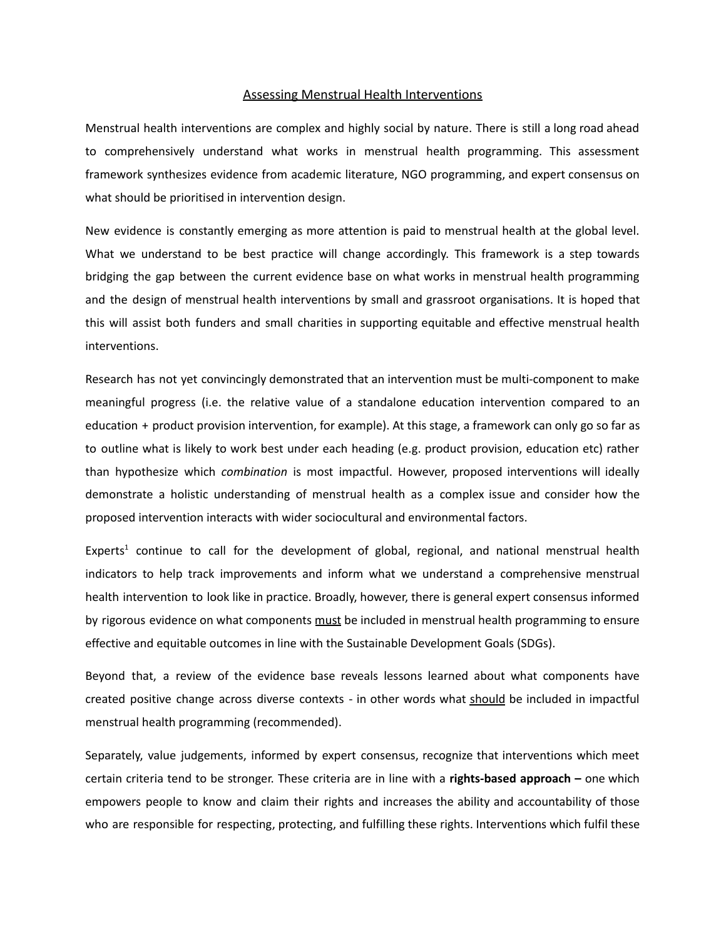#### Assessing Menstrual Health Interventions

Menstrual health interventions are complex and highly social by nature. There is still a long road ahead to comprehensively understand what works in menstrual health programming. This assessment framework synthesizes evidence from academic literature, NGO programming, and expert consensus on what should be prioritised in intervention design.

New evidence is constantly emerging as more attention is paid to menstrual health at the global level. What we understand to be best practice will change accordingly. This framework is a step towards bridging the gap between the current evidence base on what works in menstrual health programming and the design of menstrual health interventions by small and grassroot organisations. It is hoped that this will assist both funders and small charities in supporting equitable and effective menstrual health interventions.

Research has not yet convincingly demonstrated that an intervention must be multi-component to make meaningful progress (i.e. the relative value of a standalone education intervention compared to an education + product provision intervention, for example). At this stage, a framework can only go so far as to outline what is likely to work best under each heading (e.g. product provision, education etc) rather than hypothesize which *combination* is most impactful. However, proposed interventions will ideally demonstrate a holistic understanding of menstrual health as a complex issue and consider how the proposed intervention interacts with wider sociocultural and environmental factors.

Experts<sup>1</sup> continue to call for the development of global, regional, and national menstrual health indicators to help track improvements and inform what we understand a comprehensive menstrual health intervention to look like in practice. Broadly, however, there is general expert consensus informed by rigorous evidence on what components must be included in menstrual health programming to ensure effective and equitable outcomes in line with the Sustainable Development Goals (SDGs).

Beyond that, a review of the evidence base reveals lessons learned about what components have created positive change across diverse contexts - in other words what should be included in impactful menstrual health programming (recommended).

Separately, value judgements, informed by expert consensus, recognize that interventions which meet certain criteria tend to be stronger. These criteria are in line with a **rights-based approach –** one which empowers people to know and claim their rights and increases the ability and accountability of those who are responsible for respecting, protecting, and fulfilling these rights. Interventions which fulfil these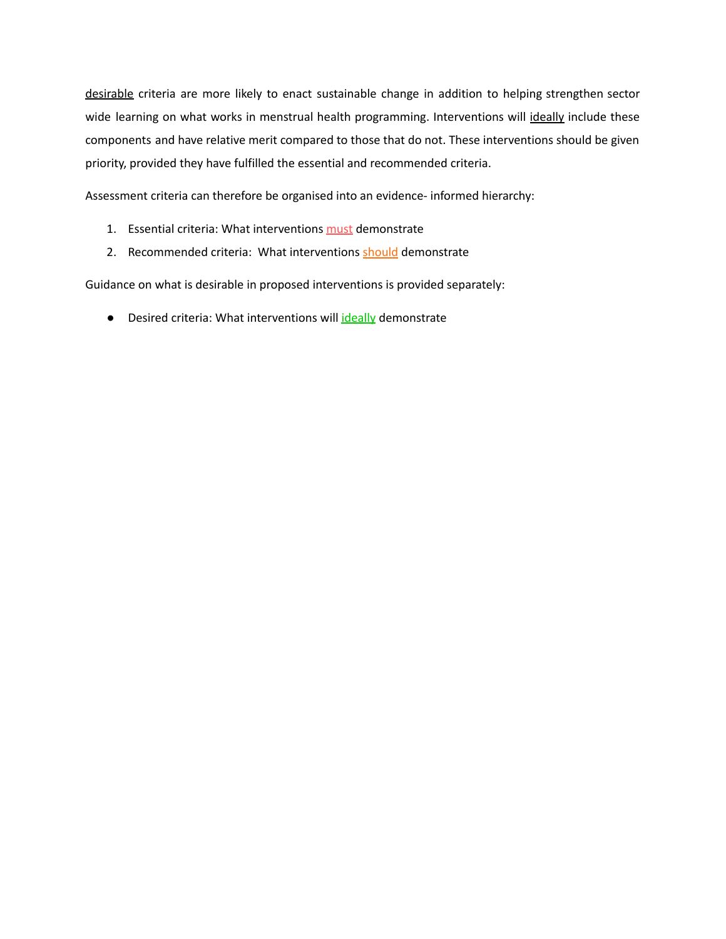desirable criteria are more likely to enact sustainable change in addition to helping strengthen sector wide learning on what works in menstrual health programming. Interventions will ideally include these components and have relative merit compared to those that do not. These interventions should be given priority, provided they have fulfilled the essential and recommended criteria.

Assessment criteria can therefore be organised into an evidence- informed hierarchy:

- 1. Essential criteria: What interventions must demonstrate
- 2. Recommended criteria: What interventions should demonstrate

Guidance on what is desirable in proposed interventions is provided separately:

● Desired criteria: What interventions will ideally demonstrate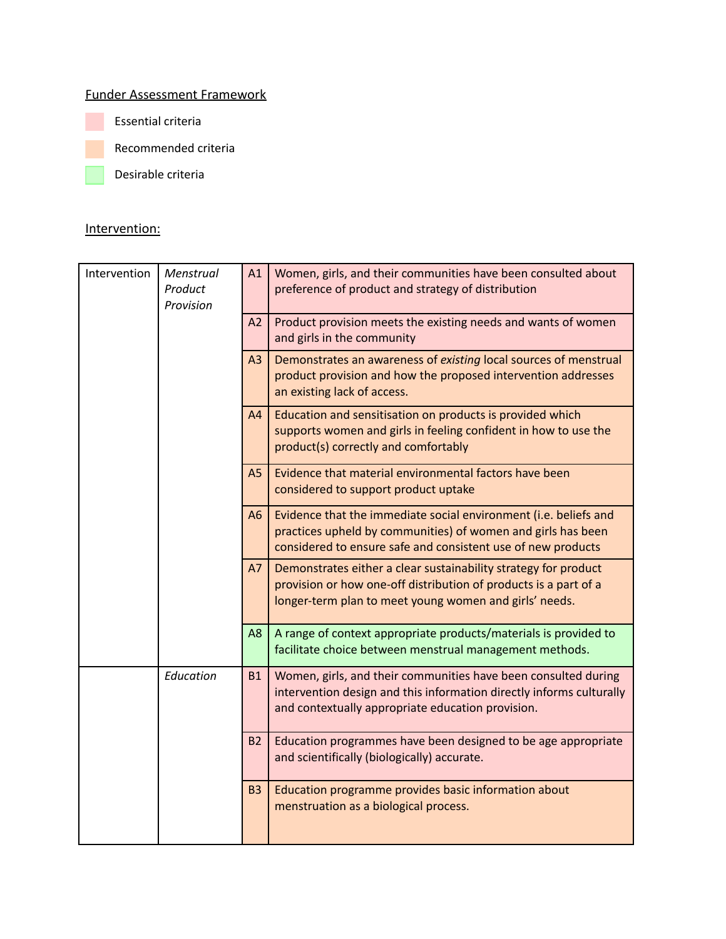# Funder Assessment Framework

Essential criteria

Recommended criteria

Desirable criteria

## Intervention:

| Intervention | Menstrual<br>Product<br>Provision | A1             | Women, girls, and their communities have been consulted about<br>preference of product and strategy of distribution                                                                              |
|--------------|-----------------------------------|----------------|--------------------------------------------------------------------------------------------------------------------------------------------------------------------------------------------------|
|              |                                   | A2             | Product provision meets the existing needs and wants of women<br>and girls in the community                                                                                                      |
|              |                                   | A <sub>3</sub> | Demonstrates an awareness of existing local sources of menstrual<br>product provision and how the proposed intervention addresses<br>an existing lack of access.                                 |
|              |                                   | A4             | Education and sensitisation on products is provided which<br>supports women and girls in feeling confident in how to use the<br>product(s) correctly and comfortably                             |
|              |                                   | A <sub>5</sub> | Evidence that material environmental factors have been<br>considered to support product uptake                                                                                                   |
|              |                                   | A <sub>6</sub> | Evidence that the immediate social environment (i.e. beliefs and<br>practices upheld by communities) of women and girls has been<br>considered to ensure safe and consistent use of new products |
|              |                                   | A7             | Demonstrates either a clear sustainability strategy for product<br>provision or how one-off distribution of products is a part of a<br>longer-term plan to meet young women and girls' needs.    |
|              |                                   | A <sub>8</sub> | A range of context appropriate products/materials is provided to<br>facilitate choice between menstrual management methods.                                                                      |
|              | Education                         | <b>B1</b>      | Women, girls, and their communities have been consulted during<br>intervention design and this information directly informs culturally<br>and contextually appropriate education provision.      |
|              |                                   | <b>B2</b>      | Education programmes have been designed to be age appropriate<br>and scientifically (biologically) accurate.                                                                                     |
|              |                                   | <b>B3</b>      | Education programme provides basic information about<br>menstruation as a biological process.                                                                                                    |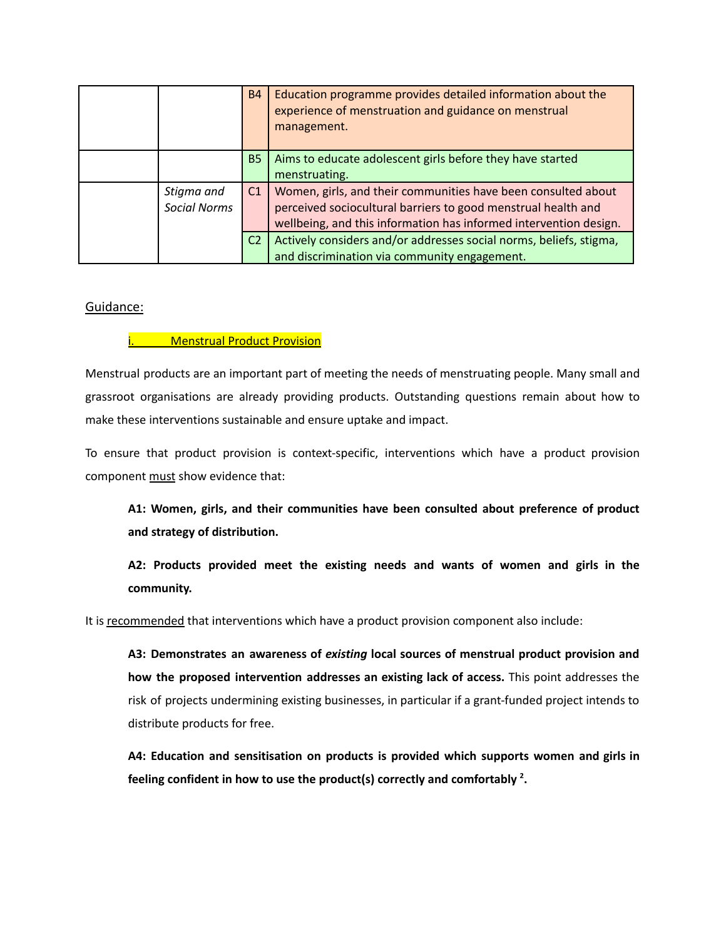|                                   | <b>B4</b>      | Education programme provides detailed information about the<br>experience of menstruation and guidance on menstrual<br>management.                                                                  |
|-----------------------------------|----------------|-----------------------------------------------------------------------------------------------------------------------------------------------------------------------------------------------------|
|                                   | <b>B5</b>      | Aims to educate adolescent girls before they have started<br>menstruating.                                                                                                                          |
| Stigma and<br><b>Social Norms</b> | C1             | Women, girls, and their communities have been consulted about<br>perceived sociocultural barriers to good menstrual health and<br>wellbeing, and this information has informed intervention design. |
|                                   | C <sub>2</sub> | Actively considers and/or addresses social norms, beliefs, stigma,<br>and discrimination via community engagement.                                                                                  |

## Guidance:

## **Menstrual Product Provision**

Menstrual products are an important part of meeting the needs of menstruating people. Many small and grassroot organisations are already providing products. Outstanding questions remain about how to make these interventions sustainable and ensure uptake and impact.

To ensure that product provision is context-specific, interventions which have a product provision component must show evidence that:

**A1: Women, girls, and their communities have been consulted about preference of product and strategy of distribution.**

**A2: Products provided meet the existing needs and wants of women and girls in the community.**

It is recommended that interventions which have a product provision component also include:

**A3: Demonstrates an awareness of** *existing* **local sources of menstrual product provision and how the proposed intervention addresses an existing lack of access.** This point addresses the risk of projects undermining existing businesses, in particular if a grant-funded project intends to distribute products for free.

**A4: Education and sensitisation on products is provided which supports women and girls in feeling confident in how to use the product(s) correctly and comfortably 2 .**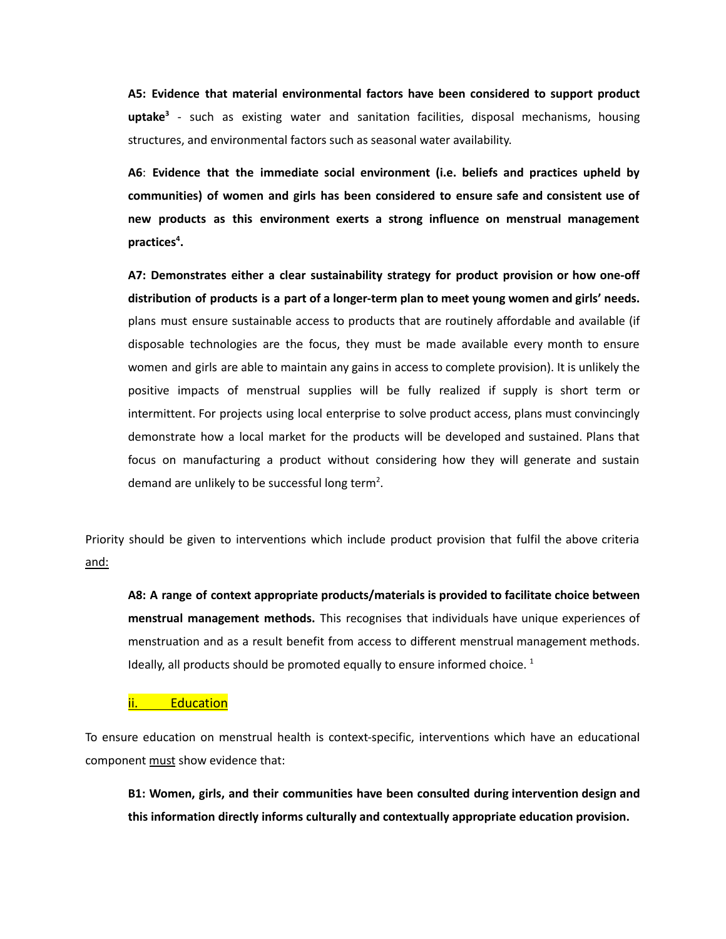**A5: Evidence that material environmental factors have been considered to support product uptake 3** - such as existing water and sanitation facilities, disposal mechanisms, housing structures, and environmental factors such as seasonal water availability.

**A6**: **Evidence that the immediate social environment (i.e. beliefs and practices upheld by communities) of women and girls has been considered to ensure safe and consistent use of new products as this environment exerts a strong influence on menstrual management practices 4 .**

**A7: Demonstrates either a clear sustainability strategy for product provision or how one-off distribution of products is a part of a longer-term plan to meet young women and girls' needs.** plans must ensure sustainable access to products that are routinely affordable and available (if disposable technologies are the focus, they must be made available every month to ensure women and girls are able to maintain any gains in access to complete provision). It is unlikely the positive impacts of menstrual supplies will be fully realized if supply is short term or intermittent. For projects using local enterprise to solve product access, plans must convincingly demonstrate how a local market for the products will be developed and sustained. Plans that focus on manufacturing a product without considering how they will generate and sustain demand are unlikely to be successful long term<sup>2</sup>.

Priority should be given to interventions which include product provision that fulfil the above criteria and:

**A8: A range of context appropriate products/materials is provided to facilitate choice between menstrual management methods.** This recognises that individuals have unique experiences of menstruation and as a result benefit from access to different menstrual management methods. Ideally, all products should be promoted equally to ensure informed choice.<sup>1</sup>

**Education** 

To ensure education on menstrual health is context-specific, interventions which have an educational component must show evidence that:

**B1: Women, girls, and their communities have been consulted during intervention design and this information directly informs culturally and contextually appropriate education provision.**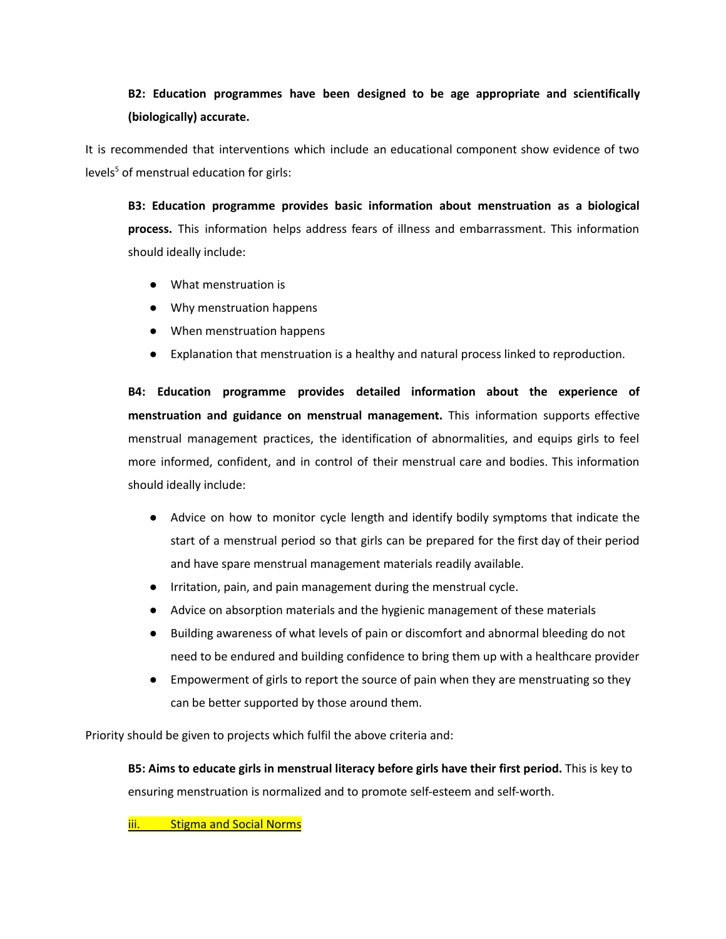# **B2: Education programmes have been designed to be age appropriate and scientifically (biologically) accurate.**

It is recommended that interventions which include an educational component show evidence of two levels <sup>5</sup> of menstrual education for girls:

**B3: Education programme provides basic information about menstruation as a biological process.** This information helps address fears of illness and embarrassment. This information should ideally include:

- What menstruation is
- Why menstruation happens
- When menstruation happens
- Explanation that menstruation is a healthy and natural process linked to reproduction.

**B4: Education programme provides detailed information about the experience of menstruation and guidance on menstrual management.** This information supports effective menstrual management practices, the identification of abnormalities, and equips girls to feel more informed, confident, and in control of their menstrual care and bodies. This information should ideally include:

- Advice on how to monitor cycle length and identify bodily symptoms that indicate the start of a menstrual period so that girls can be prepared for the first day of their period and have spare menstrual management materials readily available.
- Irritation, pain, and pain management during the menstrual cycle.
- Advice on absorption materials and the hygienic management of these materials
- Building awareness of what levels of pain or discomfort and abnormal bleeding do not need to be endured and building confidence to bring them up with a healthcare provider
- Empowerment of girls to report the source of pain when they are menstruating so they can be better supported by those around them.

Priority should be given to projects which fulfil the above criteria and:

**B5: Aims to educate girls in menstrual literacy before girls have their first period.** This is key to ensuring menstruation is normalized and to promote self-esteem and self-worth.

iii. Stigma and Social Norms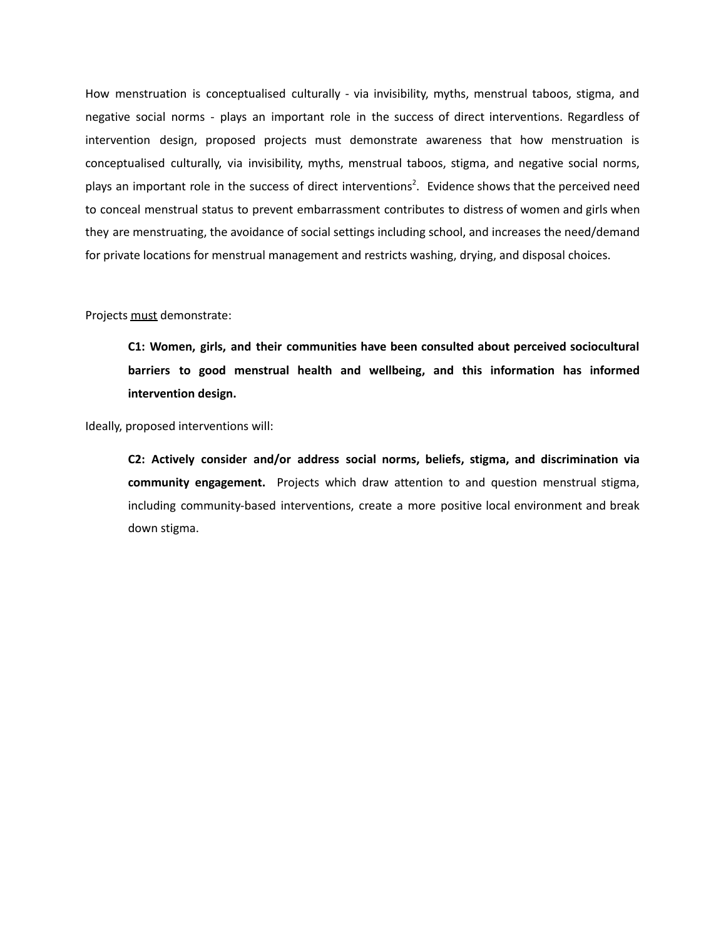How menstruation is conceptualised culturally - via invisibility, myths, menstrual taboos, stigma, and negative social norms - plays an important role in the success of direct interventions. Regardless of intervention design, proposed projects must demonstrate awareness that how menstruation is conceptualised culturally, via invisibility, myths, menstrual taboos, stigma, and negative social norms, plays an important role in the success of direct interventions<sup>2</sup>. Evidence shows that the perceived need to conceal menstrual status to prevent embarrassment contributes to distress of women and girls when they are menstruating, the avoidance of social settings including school, and increases the need/demand for private locations for menstrual management and restricts washing, drying, and disposal choices.

#### Projects must demonstrate:

**C1: Women, girls, and their communities have been consulted about perceived sociocultural barriers to good menstrual health and wellbeing, and this information has informed intervention design.**

Ideally, proposed interventions will:

**C2: Actively consider and/or address social norms, beliefs, stigma, and discrimination via community engagement.** Projects which draw attention to and question menstrual stigma, including community-based interventions, create a more positive local environment and break down stigma.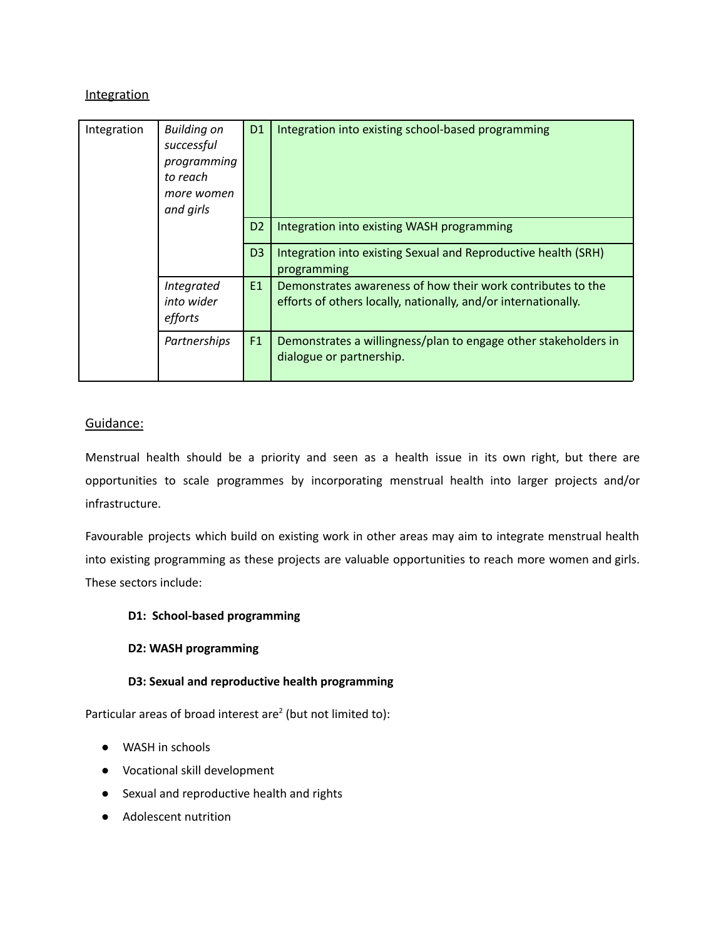## **Integration**

| Integration | <b>Building on</b><br>successful<br>programming<br>to reach<br>more women<br>and girls | D <sub>1</sub> | Integration into existing school-based programming                                                                            |
|-------------|----------------------------------------------------------------------------------------|----------------|-------------------------------------------------------------------------------------------------------------------------------|
|             |                                                                                        | D <sub>2</sub> | Integration into existing WASH programming                                                                                    |
|             |                                                                                        | D <sub>3</sub> | Integration into existing Sexual and Reproductive health (SRH)<br>programming                                                 |
|             | Integrated<br>into wider<br>efforts                                                    | E1             | Demonstrates awareness of how their work contributes to the<br>efforts of others locally, nationally, and/or internationally. |
|             | Partnerships                                                                           | F1             | Demonstrates a willingness/plan to engage other stakeholders in<br>dialogue or partnership.                                   |

## Guidance:

Menstrual health should be a priority and seen as a health issue in its own right, but there are opportunities to scale programmes by incorporating menstrual health into larger projects and/or infrastructure.

Favourable projects which build on existing work in other areas may aim to integrate menstrual health into existing programming as these projects are valuable opportunities to reach more women and girls. These sectors include:

#### **D1: School-based programming**

#### **D2: WASH programming**

#### **D3: Sexual and reproductive health programming**

Particular areas of broad interest are<sup>2</sup> (but not limited to):

- WASH in schools
- Vocational skill development
- Sexual and reproductive health and rights
- Adolescent nutrition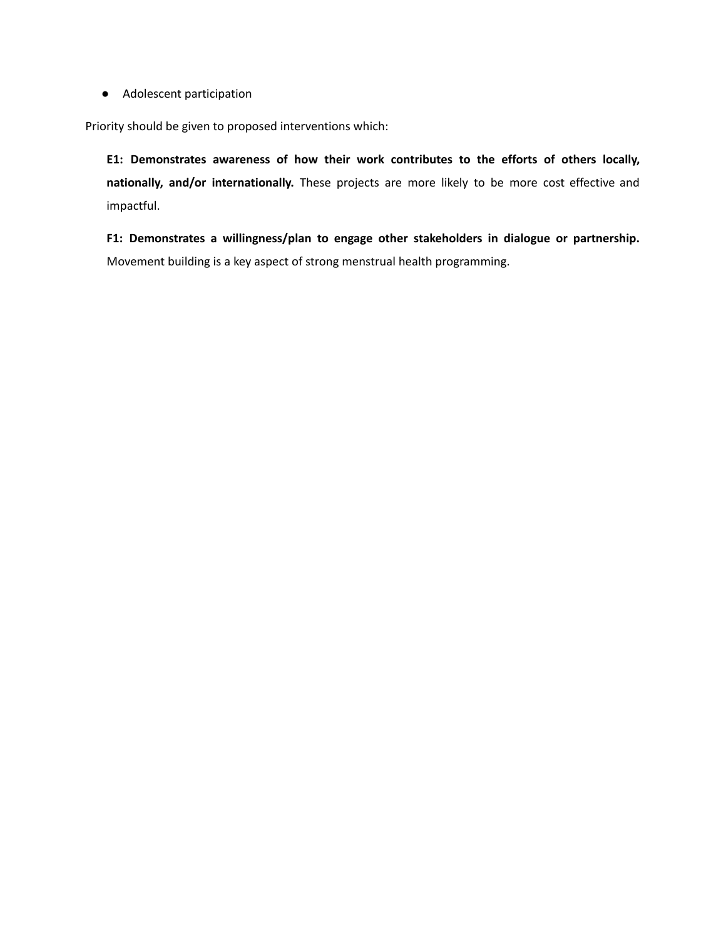● Adolescent participation

Priority should be given to proposed interventions which:

**E1: Demonstrates awareness of how their work contributes to the efforts of others locally, nationally, and/or internationally.** These projects are more likely to be more cost effective and impactful.

**F1: Demonstrates a willingness/plan to engage other stakeholders in dialogue or partnership.** Movement building is a key aspect of strong menstrual health programming.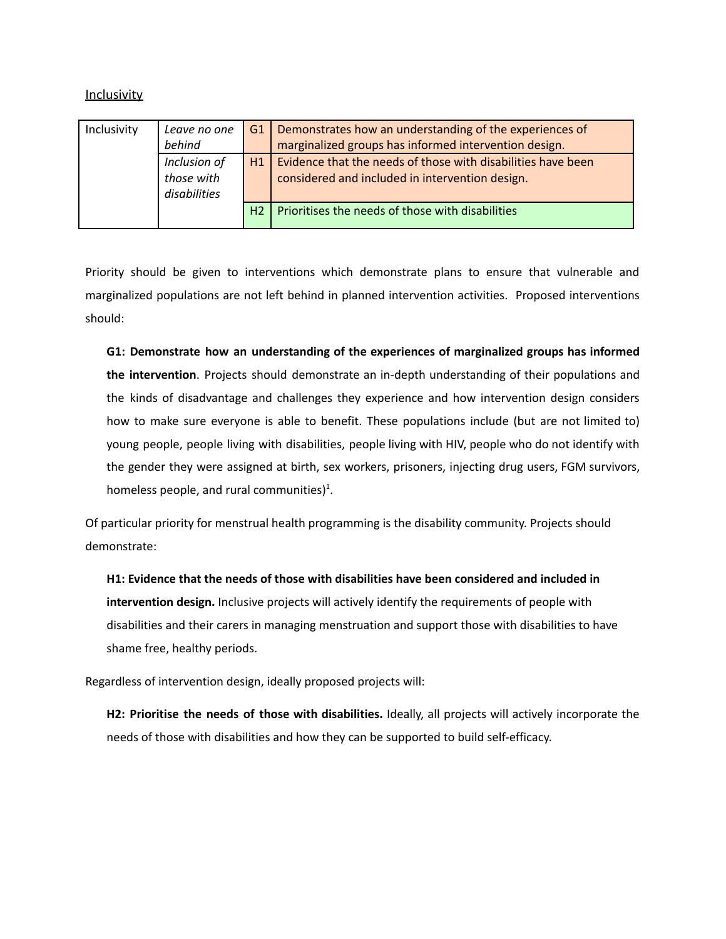Inclusivity

| Inclusivity | Leave no one<br>behind                     | G1             | Demonstrates how an understanding of the experiences of<br>marginalized groups has informed intervention design. |
|-------------|--------------------------------------------|----------------|------------------------------------------------------------------------------------------------------------------|
|             | Inclusion of<br>those with<br>disabilities | H1             | Evidence that the needs of those with disabilities have been<br>considered and included in intervention design.  |
|             |                                            | H <sub>2</sub> | Prioritises the needs of those with disabilities                                                                 |

Priority should be given to interventions which demonstrate plans to ensure that vulnerable and marginalized populations are not left behind in planned intervention activities. Proposed interventions should:

**G1: Demonstrate how an understanding of the experiences of marginalized groups has informed the intervention**. Projects should demonstrate an in-depth understanding of their populations and the kinds of disadvantage and challenges they experience and how intervention design considers how to make sure everyone is able to benefit. These populations include (but are not limited to) young people, people living with disabilities, people living with HIV, people who do not identify with the gender they were assigned at birth, sex workers, prisoners, injecting drug users, FGM survivors, homeless people, and rural communities)<sup>1</sup>.

Of particular priority for menstrual health programming is the disability community. Projects should demonstrate:

**H1: Evidence that the needs of those with disabilities have been considered and included in intervention design.** Inclusive projects will actively identify the requirements of people with disabilities and their carers in managing menstruation and support those with disabilities to have shame free, healthy periods.

Regardless of intervention design, ideally proposed projects will:

**H2: Prioritise the needs of those with disabilities.** Ideally, all projects will actively incorporate the needs of those with disabilities and how they can be supported to build self-efficacy.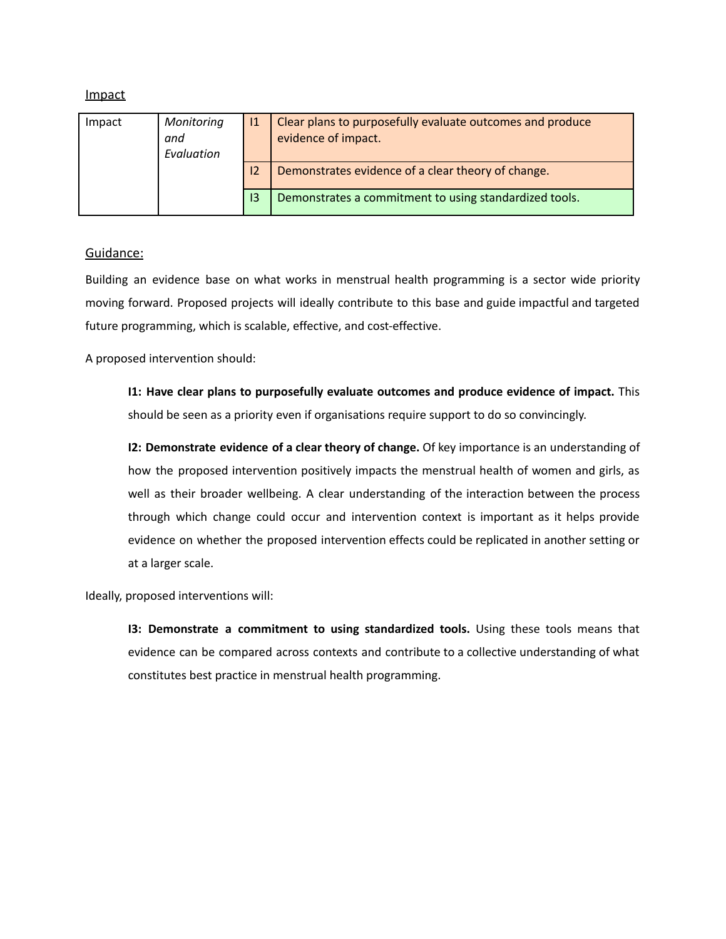| Impact | Monitoring<br>and<br>Evaluation |    | Clear plans to purposefully evaluate outcomes and produce<br>evidence of impact. |
|--------|---------------------------------|----|----------------------------------------------------------------------------------|
|        |                                 | 12 | Demonstrates evidence of a clear theory of change.                               |
|        |                                 | 13 | Demonstrates a commitment to using standardized tools.                           |

#### Guidance:

Building an evidence base on what works in menstrual health programming is a sector wide priority moving forward. Proposed projects will ideally contribute to this base and guide impactful and targeted future programming, which is scalable, effective, and cost-effective.

A proposed intervention should:

**I1: Have clear plans to purposefully evaluate outcomes and produce evidence of impact.** This should be seen as a priority even if organisations require support to do so convincingly.

**I2: Demonstrate evidence of a clear theory of change.** Of key importance is an understanding of how the proposed intervention positively impacts the menstrual health of women and girls, as well as their broader wellbeing. A clear understanding of the interaction between the process through which change could occur and intervention context is important as it helps provide evidence on whether the proposed intervention effects could be replicated in another setting or at a larger scale.

Ideally, proposed interventions will:

**I3: Demonstrate a commitment to using standardized tools.** Using these tools means that evidence can be compared across contexts and contribute to a collective understanding of what constitutes best practice in menstrual health programming.

## Impact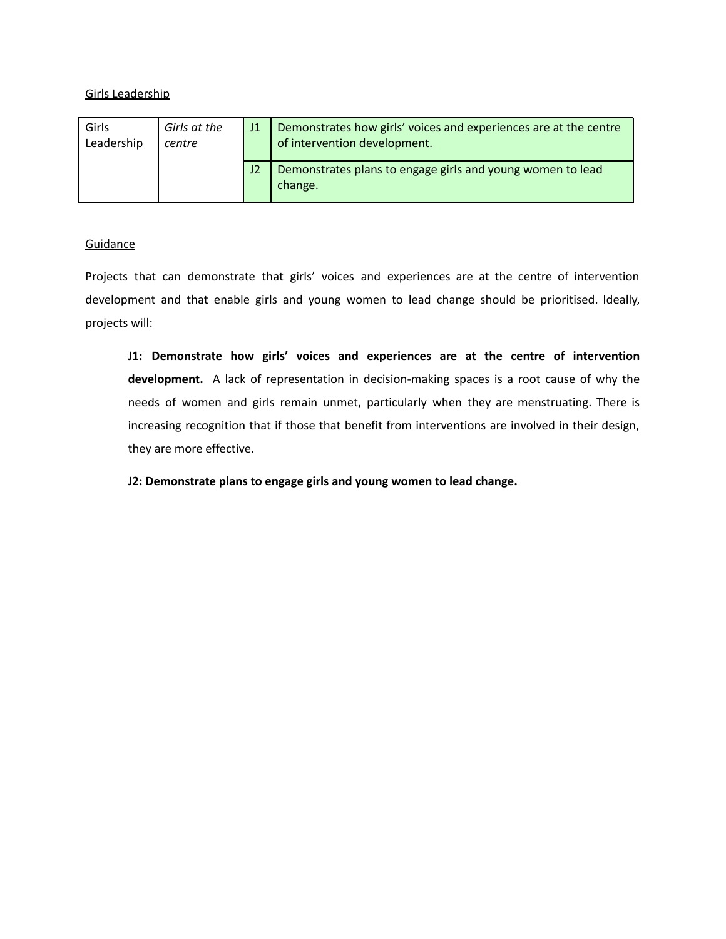#### Girls Leadership

| Girls<br>Leadership | Girls at the<br>centre | 11             | Demonstrates how girls' voices and experiences are at the centre<br>of intervention development. |
|---------------------|------------------------|----------------|--------------------------------------------------------------------------------------------------|
|                     |                        | J <sub>2</sub> | Demonstrates plans to engage girls and young women to lead<br>change.                            |

#### **Guidance**

Projects that can demonstrate that girls' voices and experiences are at the centre of intervention development and that enable girls and young women to lead change should be prioritised. Ideally, projects will:

**J1: Demonstrate how girls' voices and experiences are at the centre of intervention development.** A lack of representation in decision-making spaces is a root cause of why the needs of women and girls remain unmet, particularly when they are menstruating. There is increasing recognition that if those that benefit from interventions are involved in their design, they are more effective.

**J2: Demonstrate plans to engage girls and young women to lead change.**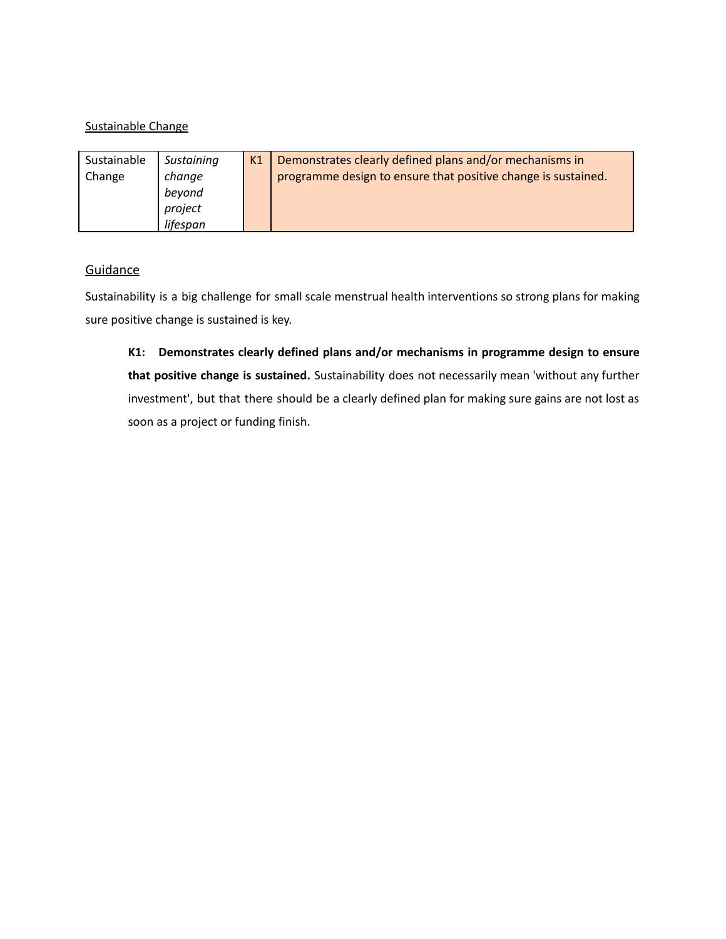### Sustainable Change

| Sustainable<br>Change | Sustaining<br>change<br>beyond<br>project | K <sub>1</sub> | Demonstrates clearly defined plans and/or mechanisms in<br>programme design to ensure that positive change is sustained. |
|-----------------------|-------------------------------------------|----------------|--------------------------------------------------------------------------------------------------------------------------|
|                       | lifespan                                  |                |                                                                                                                          |

## **Guidance**

Sustainability is a big challenge for small scale menstrual health interventions so strong plans for making sure positive change is sustained is key.

**K1: Demonstrates clearly defined plans and/or mechanisms in programme design to ensure that positive change is sustained.** Sustainability does not necessarily mean 'without any further investment', but that there should be a clearly defined plan for making sure gains are not lost as soon as a project or funding finish.